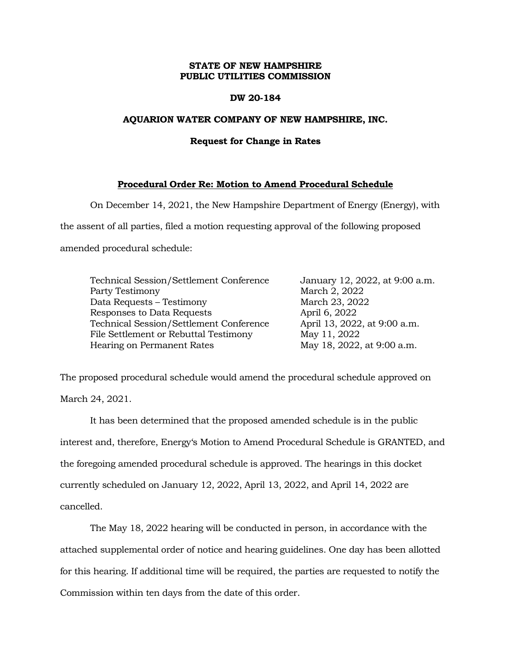## **STATE OF NEW HAMPSHIRE PUBLIC UTILITIES COMMISSION**

### **DW 20-184**

## **AQUARION WATER COMPANY OF NEW HAMPSHIRE, INC.**

### **Request for Change in Rates**

# **Procedural Order Re: Motion to Amend Procedural Schedule**

On December 14, 2021, the New Hampshire Department of Energy (Energy), with the assent of all parties, filed a motion requesting approval of the following proposed amended procedural schedule:

| Technical Session/Settlement Conference |
|-----------------------------------------|
| Party Testimony                         |
| Data Requests - Testimony               |
| Responses to Data Requests              |
| Technical Session/Settlement Conference |
| File Settlement or Rebuttal Testimony   |
| Hearing on Permanent Rates              |

January 12, 2022, at 9:00 a.m. March 2, 2022 March 23, 2022 April 6, 2022 April 13, 2022, at 9:00 a.m. May 11, 2022 May 18, 2022, at 9:00 a.m.

The proposed procedural schedule would amend the procedural schedule approved on March 24, 2021.

It has been determined that the proposed amended schedule is in the public interest and, therefore, Energy's Motion to Amend Procedural Schedule is GRANTED, and the foregoing amended procedural schedule is approved. The hearings in this docket currently scheduled on January 12, 2022, April 13, 2022, and April 14, 2022 are cancelled.

The May 18, 2022 hearing will be conducted in person, in accordance with the attached supplemental order of notice and hearing guidelines. One day has been allotted for this hearing. If additional time will be required, the parties are requested to notify the Commission within ten days from the date of this order.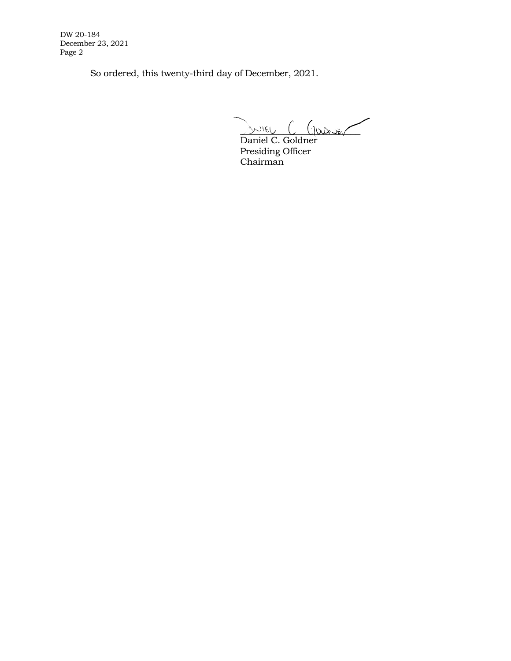DW 20-184 December 23, 2021 Page 2

So ordered, this twenty-third day of December, 2021.

INTEL C GOURNE

Daniel C. Goldner Presiding Officer Chairman